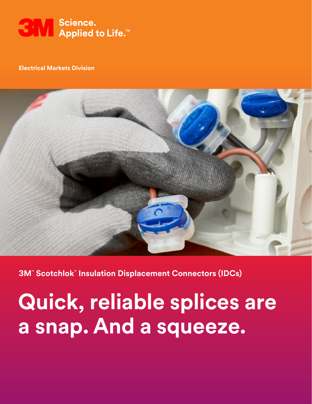

#### **Electrical Markets Division**



## **3M™ Scotchlok™ Insulation Displacement Connectors (IDCs)**

**Quick, reliable splices are a snap. And a squeeze.**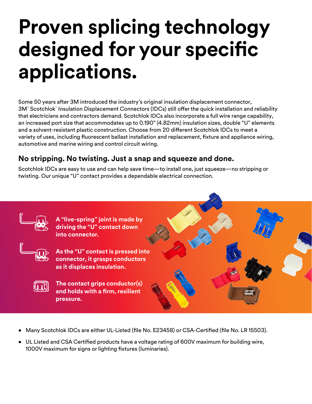# **Proven splicing technology designed for your specific applications.**

Some 50 years after 3M introduced the industry's original insulation displacement connector, 3M™ Scotchlok™ Insulation Displacement Connectors (IDCs) still offer the quick installation and reliability that electricians and contractors demand. Scotchlok IDCs also incorporate a full wire range capability, an increased port size that accommodates up to 0.190" (4.82mm) insulation sizes, double "U" elements and a solvent-resistant plastic construction. Choose from 20 different Scotchlok IDCs to meet a variety of uses, including fluorescent ballast installation and replacement, fixture and appliance wiring, automotive and marine wiring and control circuit wiring.

## **No stripping. No twisting. Just a snap and squeeze and done.**

Scotchlok IDCs are easy to use and can help save time—to install one, just squeeze—no stripping or twisting. Our unique "U" contact provides a dependable electrical connection.



- Many Scotchlok IDCs are either UL-Listed (file No. E23458) or CSA-Certified (file No. LR 15503).
- UL Listed and CSA Certified products have a voltage rating of 600V maximum for building wire, 1000V maximum for signs or lighting fixtures (luminaries).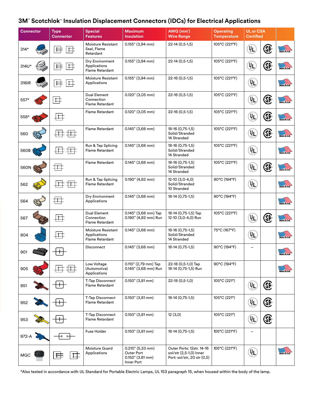#### **3M™ Scotchlok™ Insulation Displacement Connectors (IDCs) for Electrical Applications**

| <b>Connector</b> |  | <b>Type</b><br><b>Connector</b> | <b>Special</b><br><b>Features</b>                            | <b>Maximum</b><br><b>Insulation</b>                                | AWG (mm <sup>2</sup> )<br><b>Wire Range</b>                                         | <b>Operating</b><br><b>Temperature</b> | <b>UL or CSA</b><br>Certified |      |                      |
|------------------|--|---------------------------------|--------------------------------------------------------------|--------------------------------------------------------------------|-------------------------------------------------------------------------------------|----------------------------------------|-------------------------------|------|----------------------|
| $314*$           |  |                                 | Moisture Resistant<br>Seal, Flame<br>Retardant               | $0.155$ " (3,94 mm)                                                | 22-14 (0,5-1,5)                                                                     | 105°C (221°F)                          | <u>yr</u>                     | (SP) | $\sqrt{\frac{2}{5}}$ |
| 314U*            |  | 井                               | Dry Environment<br>Applications<br><b>Flame Retardant</b>    | $0.155"$ (3,94 mm)                                                 | $22-14(0,5-1,5)$                                                                    | 105°C (221°F)                          | (ÅL)                          | (SP  | <b>ANDER OF</b>      |
| 316IR            |  | 茸                               | Moisture Resistant<br>Applications                           | $0.155"$ (3,94 mm)                                                 | 22-16 (0,5-1,5)                                                                     | 105°C (221°F)                          | (AL                           |      | MOT IN USA           |
| 557*             |  | ヰ                               | Dual Element<br>Connection<br><b>Flame Retardant</b>         | $0.120$ " (3,05 mm)                                                | 22-16 (0,5-1,5)                                                                     | 105°C (221°F)                          | ŲL                            | GP.  | <b>AGE IN USA</b>    |
| 558*             |  | $\pm$                           | <b>Flame Retardant</b>                                       | 0.120" (3,05 mm)                                                   | 22-16 (0,5-1,5)                                                                     | 105°C (221°F)                          | ŲL                            | (SP  | $\sqrt{2}$           |
| 560              |  |                                 | Flame Retardant                                              | $0.145$ " (3,68 mm)                                                | 18-16 (0,75-1,5)<br>Solid/Stranded<br>14 Stranded                                   | 105°C (221°F)                          | ųL                            | Œ    | <b>AND IN USA</b>    |
| 560B             |  |                                 | Run & Tap Splicing<br>Flame Retardant                        | $0.145$ " (3,68 mm)                                                | 18-16 (0,75-1,5)<br>Solid/Stranded<br>14 Stranded                                   | 105°C (221°F)                          | VL)                           |      | <b>IADE IN USA</b>   |
| 560N             |  | ╪╪╤                             | <b>Flame Retardant</b>                                       | $0.145$ " (3,68 mm)                                                | 18-16 (0,75-1,5)<br>Solid/Stranded<br>14 Stranded                                   | 105°C (221°F)                          | ųL                            | Œ    | <b>ANDER TO SAT</b>  |
| 562              |  |                                 | Run & Tap Splicing<br>Flame Retardant                        | $0.190$ " (4,82 mm)                                                | $12-10(3,0-4,0)$<br>Solid/Stranded<br>10 Stranded                                   | 90°C (194°F)                           | (jL                           |      | ADE IN USA           |
| 564              |  | ╪╪╤                             | Dry Environment<br>Applications                              | $0.145$ " (3,68 mm)                                                | 18-14 (0,75-1,5)                                                                    | 90°C (194°F)                           |                               |      | <b>ADE IN USA</b>    |
| 567              |  |                                 | Dual Element<br>Connection<br>Flame Retardant                | 0.145" (3,68 mm) Tap<br>0.190" (4,82 mm) Run                       | 18-14 (0,75-1,5) Tap<br>12-10 (3,0-4,0) Run                                         | 105°C (221°F)                          | ñΓ                            | Œ    | MADE IN USA          |
| 804              |  | $\mathsf{I}$                    | Moisture Resistant<br>Applications<br><b>Flame Retardant</b> | $0.145$ " (3,68 mm)                                                | 18-16 (0,75-1,5)<br>Solid/Stranded<br>14 Stranded                                   | 75°C (167°F)                           | ŲL,                           |      | ADE IN USA           |
| 901              |  |                                 | <b>Disconnect</b>                                            | $0.145$ " (3,68 mm)                                                | 18-14 (0,75-1,5)                                                                    | 90°C (194°F)                           |                               |      | $\frac{1}{2}$        |
| 905              |  |                                 | Low Voltage<br>(Automotive)<br>Applications                  | 0.110" (2,79 mm) Tap<br>0.145" (3,68 mm) Run                       | 22-18 (0,5-1,0) Tap<br>18-14 (0,75-1,5) Run                                         | 90°C (194°F)                           |                               |      | <b>AGE IN USA</b>    |
| 951              |  |                                 | <b>T-Tap Disconnect</b><br><b>Flame Retardant</b>            | $0.150"$ (3,81 mm)                                                 | 22-18 (0,5-1,0)                                                                     | 105°C (221°)                           | (IL)                          | E    |                      |
| 952              |  |                                 | <b>T-Tap Disconnect</b><br>Flame Retardant                   | 0.150" (3,81 mm)                                                   | 18-14 (0,75-1,5)                                                                    | 105°C (221°)                           | (IL)                          | E    |                      |
| 953              |  |                                 | <b>T-Tap Disconnect</b><br>Flame Retardant                   | 0.150" (3,81 mm)                                                   | 12(3,0)                                                                             | 105°C (221°)                           | ÄΓ,                           | E€   |                      |
| 972-A            |  |                                 | Fuse Holder                                                  | $0.150"$ (3,81 mm)                                                 | 18-14 (0,75-1,5)                                                                    | 105°C (221°F)                          |                               |      |                      |
| <b>MGC</b>       |  |                                 | Moisture Guard<br>Applications                               | 0.210" (5,33 mm)<br>Outer Port<br>$0.150"$ (3.81 mm)<br>Inner Port | Outer Ports: 12str. 14-16<br>sol/str (2,5-1,0) Inner<br>Port: sol/str, 20 str (0,5) | 105°C (221°F)                          | (JL                           |      | $\widehat{M}$        |

\*Also tested in accordance with UL Standard for Portable Electric Lamps, UL 153 paragraph 15, when housed within the body of the lamp.